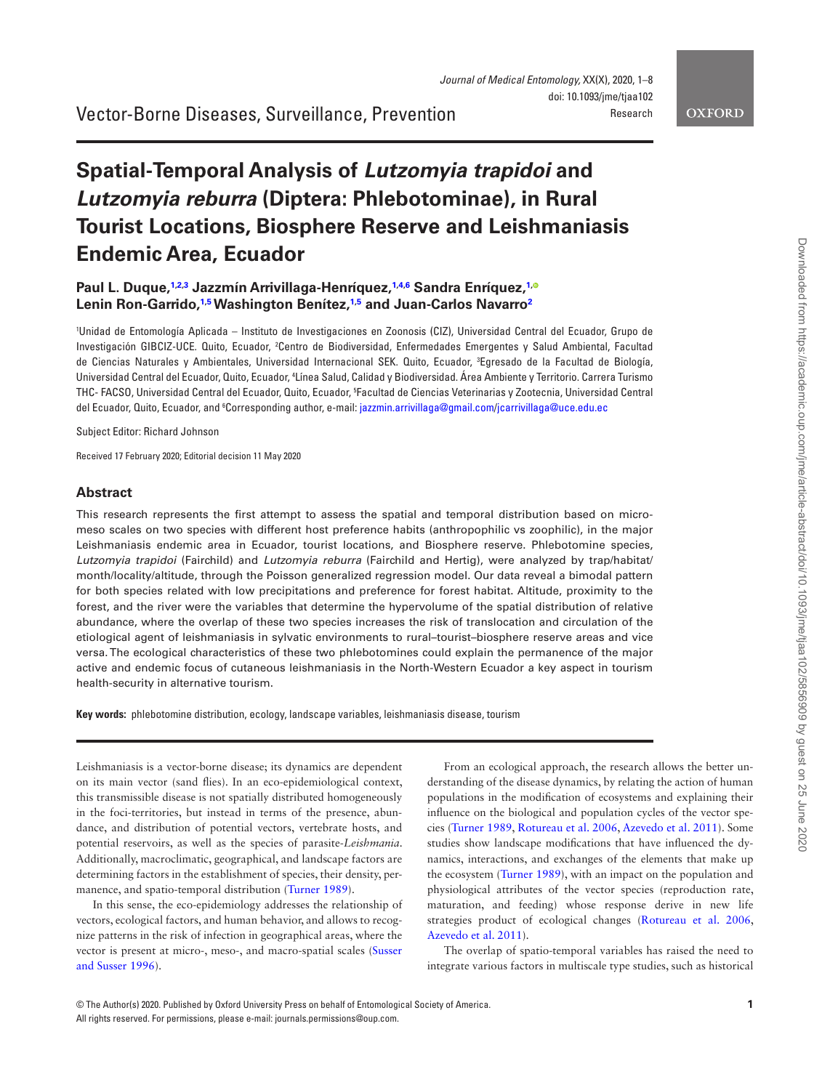*Journal of Medical Entomology,* XX(X), 2020, 1–8

## Vector-Borne Diseases, Surveillance, Prevention

## **OXFORD**

Research

# **Spatial-Temporal Analysis of** *Lutzomyia trapidoi* **and**  *Lutzomyia reburra* **(Diptera: Phlebotominae), in Rural Tourist Locations, Biosphere Reserve and Leishmaniasis Endemic Area, Ecuador**

## **Paul L. Duque, [1,](#page-0-0)[2](#page-0-1)[,3](#page-0-2) Jazzmín Arrivillaga-Henríquez, [1,](#page-0-0)[4](#page-0-3),[6](#page-0-4) Sandra Enríquez, [1](#page-0-0)[,](http://orcid.org/0000-0003-3501-0076) Lenin Ron-Garrido, [1,](#page-0-0)[5](#page-0-5) Washington Benítez, [1](#page-0-0)[,5](#page-0-5) and Juan-Carlos Navarro[2](#page-0-1)**

<span id="page-0-3"></span><span id="page-0-2"></span><span id="page-0-1"></span><span id="page-0-0"></span>1 Unidad de Entomología Aplicada – Instituto de Investigaciones en Zoonosis (CIZ), Universidad Central del Ecuador, Grupo de Investigación GIBCIZ-UCE. Quito, Ecuador, <sup>2</sup>Centro de Biodiversidad, Enfermedades Emergentes y Salud Ambiental, Facultad de Ciencias Naturales y Ambientales, Universidad Internacional SEK. Quito, Ecuador, 3 Egresado de la Facultad de Biología, Universidad Central del Ecuador, Quito, Ecuador, <sup>4</sup>Línea Salud, Calidad y Biodiversidad. Area Ambiente y Territorio. Carrera Turismo THC- FACSO, Universidad Central del Ecuador, Quito, Ecuador, <sup>s</sup>Facultad de Ciencias Veterinarias y Zootecnia, Universidad Central del Ecuador, Quito, Ecuador, and <sup>e</sup>Corresponding author, e-mail: [jazzmin.arrivillaga@gmail.com/](mailto:jazzmin.arrivillaga@gmail.com?subject=)[jcarrivillaga@uce.edu.ec](mailto:jcarrivillaga@uce.edu.ec?subject=)

<span id="page-0-5"></span><span id="page-0-4"></span>Subject Editor: Richard Johnson

Received 17 February 2020; Editorial decision 11 May 2020

#### **Abstract**

This research represents the first attempt to assess the spatial and temporal distribution based on micromeso scales on two species with different host preference habits (anthropophilic vs zoophilic), in the major Leishmaniasis endemic area in Ecuador, tourist locations, and Biosphere reserve. Phlebotomine species, *Lutzomyia trapidoi* (Fairchild) and *Lutzomyia reburra* (Fairchild and Hertig), were analyzed by trap/habitat/ month/locality/altitude, through the Poisson generalized regression model. Our data reveal a bimodal pattern for both species related with low precipitations and preference for forest habitat. Altitude, proximity to the forest, and the river were the variables that determine the hypervolume of the spatial distribution of relative abundance, where the overlap of these two species increases the risk of translocation and circulation of the etiological agent of leishmaniasis in sylvatic environments to rural–tourist–biosphere reserve areas and vice versa. The ecological characteristics of these two phlebotomines could explain the permanence of the major active and endemic focus of cutaneous leishmaniasis in the North-Western Ecuador a key aspect in tourism health-security in alternative tourism.

**Key words:** phlebotomine distribution, ecology, landscape variables, leishmaniasis disease, tourism

Leishmaniasis is a vector-borne disease; its dynamics are dependent on its main vector (sand flies). In an eco-epidemiological context, this transmissible disease is not spatially distributed homogeneously in the foci-territories, but instead in terms of the presence, abundance, and distribution of potential vectors, vertebrate hosts, and potential reservoirs, as well as the species of parasite-*Leishmania*. Additionally, macroclimatic, geographical, and landscape factors are determining factors in the establishment of species, their density, permanence, and spatio-temporal distribution [\(Turner 1989\)](#page-7-0).

In this sense, the eco-epidemiology addresses the relationship of vectors, ecological factors, and human behavior, and allows to recognize patterns in the risk of infection in geographical areas, where the vector is present at micro-, meso-, and macro-spatial scales [\(Susser](#page-7-1)  [and Susser 1996](#page-7-1)).

From an ecological approach, the research allows the better understanding of the disease dynamics, by relating the action of human populations in the modification of ecosystems and explaining their influence on the biological and population cycles of the vector species [\(Turner 1989](#page-7-0), [Rotureau et al. 2006,](#page-7-2) [Azevedo et al. 2011](#page-6-0)). Some studies show landscape modifications that have influenced the dynamics, interactions, and exchanges of the elements that make up the ecosystem [\(Turner 1989](#page-7-0)), with an impact on the population and physiological attributes of the vector species (reproduction rate, maturation, and feeding) whose response derive in new life strategies product of ecological changes [\(Rotureau et al. 2006,](#page-7-2) [Azevedo et al. 2011\)](#page-6-0).

The overlap of spatio-temporal variables has raised the need to integrate various factors in multiscale type studies, such as historical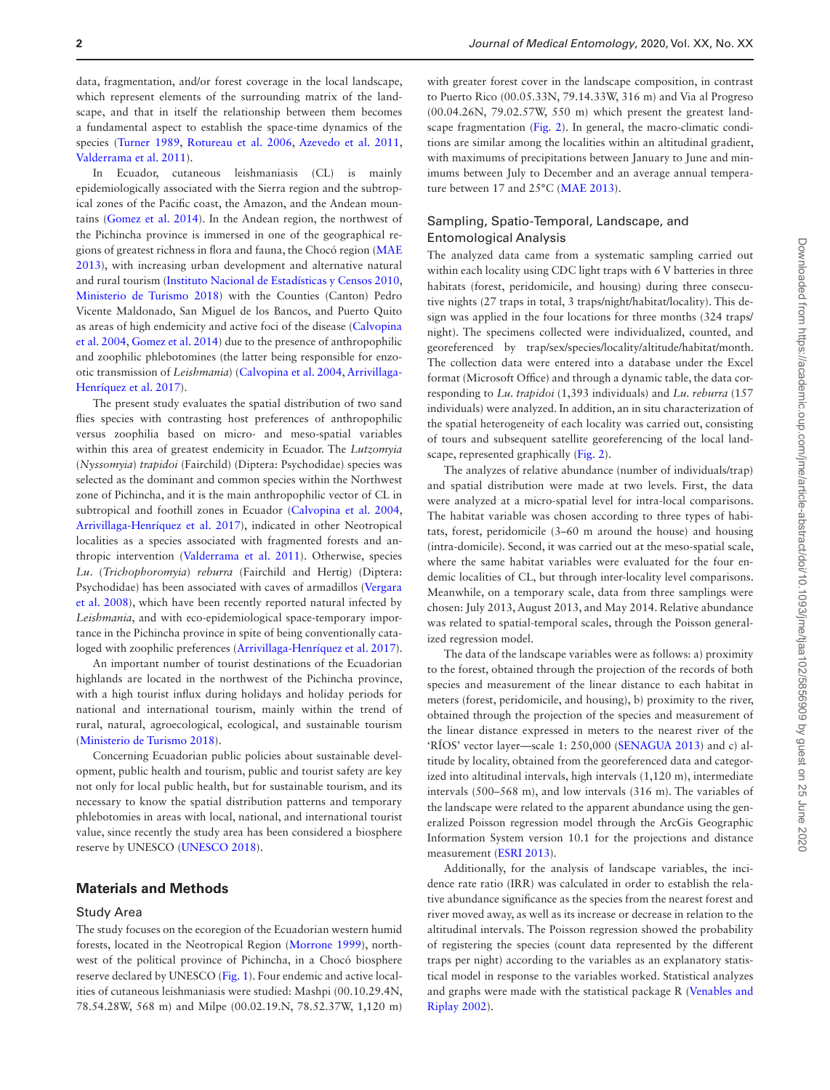data, fragmentation, and/or forest coverage in the local landscape, which represent elements of the surrounding matrix of the landscape, and that in itself the relationship between them becomes a fundamental aspect to establish the space-time dynamics of the species [\(Turner 1989,](#page-7-0) [Rotureau et al. 2006,](#page-7-2) [Azevedo et al. 2011,](#page-6-0) [Valderrama et al. 2011\)](#page-7-3).

In Ecuador, cutaneous leishmaniasis (CL) is mainly epidemiologically associated with the Sierra region and the subtropical zones of the Pacific coast, the Amazon, and the Andean mountains ([Gomez et al. 2014](#page-7-4)). In the Andean region, the northwest of the Pichincha province is immersed in one of the geographical regions of greatest richness in flora and fauna, the Chocó region ([MAE](#page-7-5)  [2013](#page-7-5)), with increasing urban development and alternative natural and rural tourism ([Instituto Nacional de Estadísticas y Censos 2010,](#page-7-6) [Ministerio de Turismo 2018](#page-7-7)) with the Counties (Canton) Pedro Vicente Maldonado, San Miguel de los Bancos, and Puerto Quito as areas of high endemicity and active foci of the disease [\(Calvopina](#page-6-1)  [et al. 2004,](#page-6-1) [Gomez et al. 2014\)](#page-7-4) due to the presence of anthropophilic and zoophilic phlebotomines (the latter being responsible for enzootic transmission of *Leishmania*) ([Calvopina et al. 2004](#page-6-1), [Arrivillaga-](#page-6-2)[Henríquez et al. 2017](#page-6-2)).

The present study evaluates the spatial distribution of two sand flies species with contrasting host preferences of anthropophilic versus zoophilia based on micro- and meso-spatial variables within this area of greatest endemicity in Ecuador. The *Lutzomyia* (*Nyssomyia*) *trapidoi* (Fairchild) (Diptera: Psychodidae) species was selected as the dominant and common species within the Northwest zone of Pichincha, and it is the main anthropophilic vector of CL in subtropical and foothill zones in Ecuador ([Calvopina et al. 2004,](#page-6-1) [Arrivillaga-Henríquez et al. 2017\)](#page-6-2), indicated in other Neotropical localities as a species associated with fragmented forests and anthropic intervention ([Valderrama et al. 2011](#page-7-3)). Otherwise, species *Lu*. (*Trichophoromyia*) *reburra* (Fairchild and Hertig) (Diptera: Psychodidae) has been associated with caves of armadillos ([Vergara](#page-7-8)  [et al. 2008](#page-7-8)), which have been recently reported natural infected by *Leishmania*, and with eco-epidemiological space-temporary importance in the Pichincha province in spite of being conventionally cataloged with zoophilic preferences [\(Arrivillaga-Henríquez et al. 2017](#page-6-2)).

An important number of tourist destinations of the Ecuadorian highlands are located in the northwest of the Pichincha province, with a high tourist influx during holidays and holiday periods for national and international tourism, mainly within the trend of rural, natural, agroecological, ecological, and sustainable tourism [\(Ministerio de Turismo 2018](#page-7-7)).

Concerning Ecuadorian public policies about sustainable development, public health and tourism, public and tourist safety are key not only for local public health, but for sustainable tourism, and its necessary to know the spatial distribution patterns and temporary phlebotomies in areas with local, national, and international tourist value, since recently the study area has been considered a biosphere reserve by UNESCO [\(UNESCO 2018\)](#page-7-9).

### **Materials and Methods**

### Study Area

The study focuses on the ecoregion of the Ecuadorian western humid forests, located in the Neotropical Region [\(Morrone 1999](#page-7-10)), northwest of the political province of Pichincha, in a Chocó biosphere reserve declared by UNESCO [\(Fig. 1](#page-2-0)). Four endemic and active localities of cutaneous leishmaniasis were studied: Mashpi (00.10.29.4N, 78.54.28W, 568 m) and Milpe (00.02.19.N, 78.52.37W, 1,120 m)

with greater forest cover in the landscape composition, in contrast to Puerto Rico (00.05.33N, 79.14.33W, 316 m) and Via al Progreso (00.04.26N, 79.02.57W, 550 m) which present the greatest landscape fragmentation ([Fig. 2](#page-3-0)). In general, the macro-climatic conditions are similar among the localities within an altitudinal gradient, with maximums of precipitations between January to June and minimums between July to December and an average annual tempera-ture between 17 and 25°C [\(MAE 2013\)](#page-7-5).

## Sampling, Spatio-Temporal, Landscape, and Entomological Analysis

The analyzed data came from a systematic sampling carried out within each locality using CDC light traps with 6 V batteries in three habitats (forest, peridomicile, and housing) during three consecutive nights (27 traps in total, 3 traps/night/habitat/locality). This design was applied in the four locations for three months (324 traps/ night). The specimens collected were individualized, counted, and georeferenced by trap/sex/species/locality/altitude/habitat/month. The collection data were entered into a database under the Excel format (Microsoft Office) and through a dynamic table, the data corresponding to *Lu. trapidoi* (1,393 individuals) and *Lu. reburra* (157 individuals) were analyzed. In addition, an in situ characterization of the spatial heterogeneity of each locality was carried out, consisting of tours and subsequent satellite georeferencing of the local landscape, represented graphically [\(Fig. 2\)](#page-3-0).

The analyzes of relative abundance (number of individuals/trap) and spatial distribution were made at two levels. First, the data were analyzed at a micro-spatial level for intra-local comparisons. The habitat variable was chosen according to three types of habitats, forest, peridomicile (3–60 m around the house) and housing (intra-domicile). Second, it was carried out at the meso-spatial scale, where the same habitat variables were evaluated for the four endemic localities of CL, but through inter-locality level comparisons. Meanwhile, on a temporary scale, data from three samplings were chosen: July 2013, August 2013, and May 2014. Relative abundance was related to spatial-temporal scales, through the Poisson generalized regression model.

The data of the landscape variables were as follows: a) proximity to the forest, obtained through the projection of the records of both species and measurement of the linear distance to each habitat in meters (forest, peridomicile, and housing), b) proximity to the river, obtained through the projection of the species and measurement of the linear distance expressed in meters to the nearest river of the 'RÍOS' vector layer—scale 1: 250,000 ([SENAGUA 2013](#page-7-11)) and c) altitude by locality, obtained from the georeferenced data and categorized into altitudinal intervals, high intervals (1,120 m), intermediate intervals (500–568 m), and low intervals (316 m). The variables of the landscape were related to the apparent abundance using the generalized Poisson regression model through the ArcGis Geographic Information System version 10.1 for the projections and distance measurement [\(ESRI 2013\)](#page-7-12).

Additionally, for the analysis of landscape variables, the incidence rate ratio (IRR) was calculated in order to establish the relative abundance significance as the species from the nearest forest and river moved away, as well as its increase or decrease in relation to the altitudinal intervals. The Poisson regression showed the probability of registering the species (count data represented by the different traps per night) according to the variables as an explanatory statistical model in response to the variables worked. Statistical analyzes and graphs were made with the statistical package R ([Venables and](#page-7-13)  [Riplay 2002](#page-7-13)).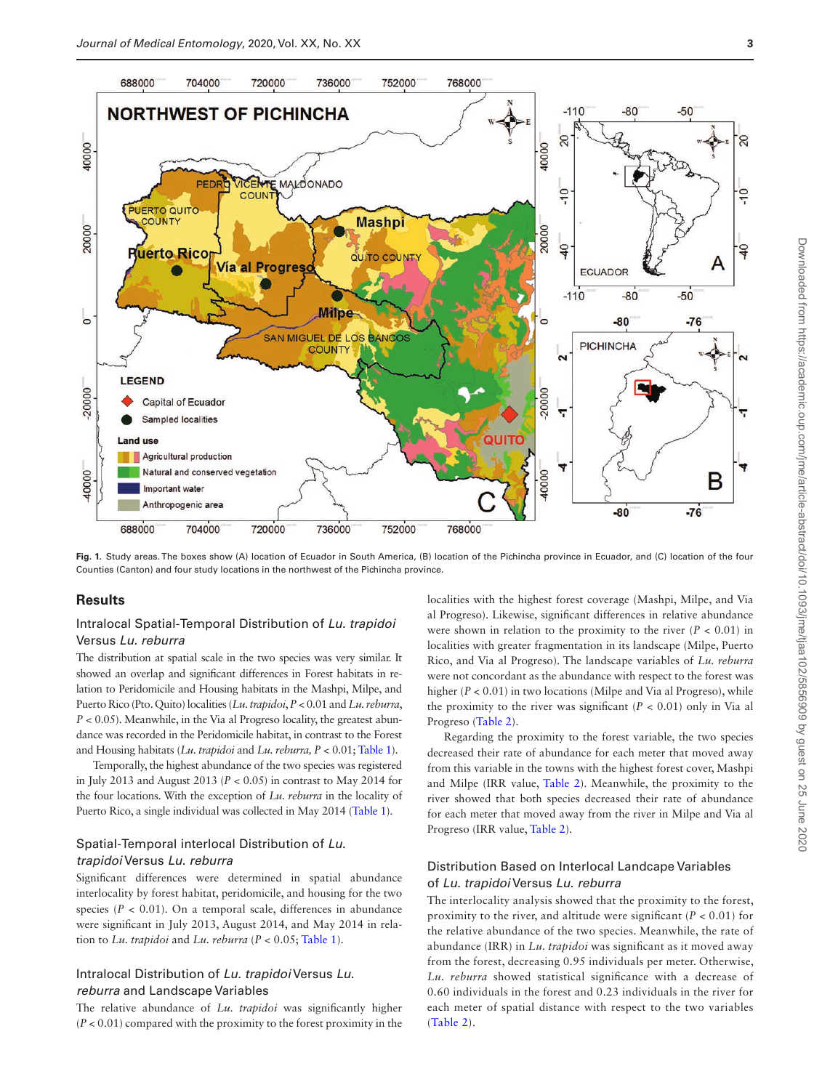

<span id="page-2-0"></span>**Fig. 1.** Study areas. The boxes show (A) location of Ecuador in South America, (B) location of the Pichincha province in Ecuador, and (C) location of the four Counties (Canton) and four study locations in the northwest of the Pichincha province.

## **Results**

## Intralocal Spatial-Temporal Distribution of *Lu. trapidoi* Versus *Lu. reburra*

The distribution at spatial scale in the two species was very similar. It showed an overlap and significant differences in Forest habitats in relation to Peridomicile and Housing habitats in the Mashpi, Milpe, and Puerto Rico (Pto. Quito) localities (*Lu. trapidoi*, *P* < 0.01 and *Lu. reburra*,  $P < 0.05$ ). Meanwhile, in the Via al Progreso locality, the greatest abundance was recorded in the Peridomicile habitat, in contrast to the Forest and Housing habitats (*Lu. trapidoi* and *Lu. reburra, P* < 0.01; [Table 1](#page-4-0)).

Temporally, the highest abundance of the two species was registered in July 2013 and August 2013 (*P* < 0.05) in contrast to May 2014 for the four locations. With the exception of *Lu. reburra* in the locality of Puerto Rico, a single individual was collected in May 2014 ([Table 1](#page-4-0)).

## Spatial-Temporal interlocal Distribution of *Lu. trapidoi* Versus *Lu. reburra*

Significant differences were determined in spatial abundance interlocality by forest habitat, peridomicile, and housing for the two species  $(P < 0.01)$ . On a temporal scale, differences in abundance were significant in July 2013, August 2014, and May 2014 in relation to *Lu. trapidoi* and *Lu. reburra* (*P* < 0.05; [Table 1\)](#page-4-0).

## Intralocal Distribution of *Lu. trapidoi* Versus *Lu. reburra* and Landscape Variables

The relative abundance of *Lu. trapidoi* was significantly higher (*P* < 0.01) compared with the proximity to the forest proximity in the

localities with the highest forest coverage (Mashpi, Milpe, and Via al Progreso). Likewise, significant differences in relative abundance were shown in relation to the proximity to the river  $(P < 0.01)$  in localities with greater fragmentation in its landscape (Milpe, Puerto Rico, and Via al Progreso). The landscape variables of *Lu. reburra* were not concordant as the abundance with respect to the forest was higher (*P* < 0.01) in two locations (Milpe and Via al Progreso), while the proximity to the river was significant  $(P < 0.01)$  only in Via al Progreso ([Table 2](#page-5-0)).

Regarding the proximity to the forest variable, the two species decreased their rate of abundance for each meter that moved away from this variable in the towns with the highest forest cover, Mashpi and Milpe (IRR value, [Table 2](#page-5-0)). Meanwhile, the proximity to the river showed that both species decreased their rate of abundance for each meter that moved away from the river in Milpe and Via al Progreso (IRR value, [Table 2\)](#page-5-0).

## Distribution Based on Interlocal Landcape Variables of *Lu. trapidoi* Versus *Lu. reburra*

The interlocality analysis showed that the proximity to the forest, proximity to the river, and altitude were significant ( $P < 0.01$ ) for the relative abundance of the two species. Meanwhile, the rate of abundance (IRR) in *Lu. trapidoi* was significant as it moved away from the forest, decreasing 0.95 individuals per meter. Otherwise, *Lu. reburra* showed statistical significance with a decrease of 0.60 individuals in the forest and 0.23 individuals in the river for each meter of spatial distance with respect to the two variables [\(Table 2](#page-5-0)).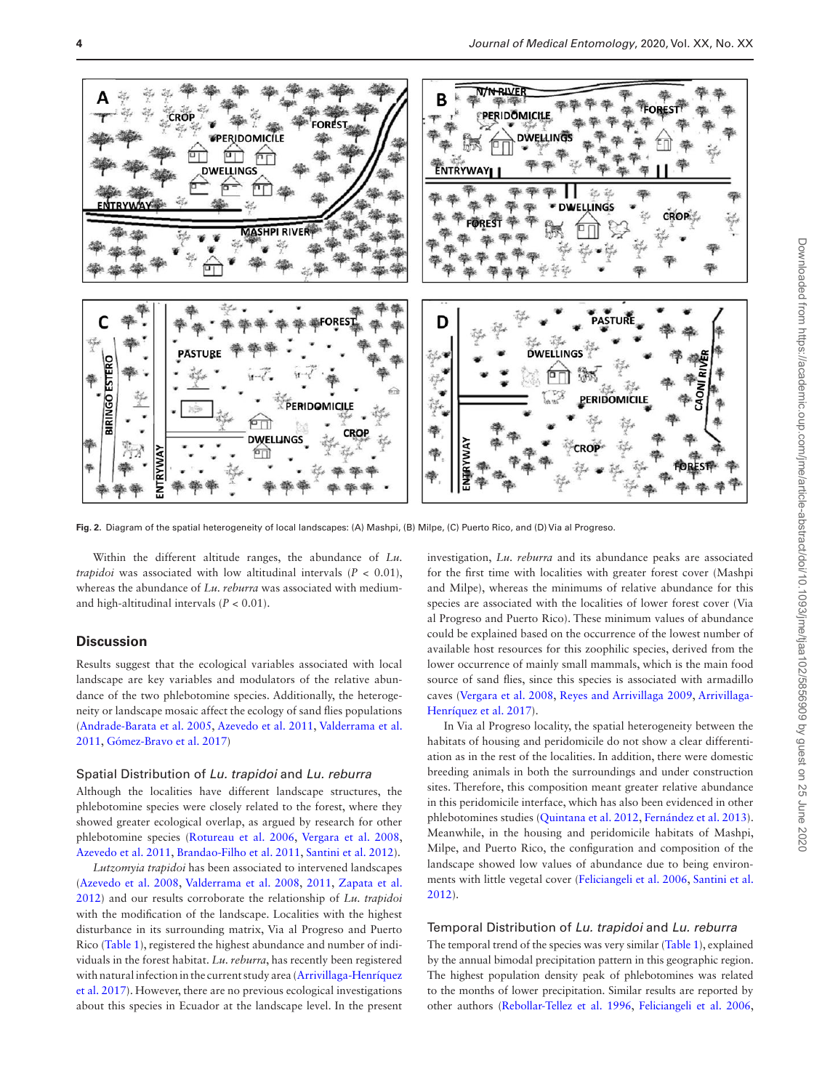

<span id="page-3-0"></span>**Fig. 2.** Diagram of the spatial heterogeneity of local landscapes: (A) Mashpi, (B) Milpe, (C) Puerto Rico, and (D) Via al Progreso.

Within the different altitude ranges, the abundance of *Lu. trapidoi* was associated with low altitudinal intervals  $(P < 0.01)$ , whereas the abundance of *Lu. reburra* was associated with mediumand high-altitudinal intervals  $(P < 0.01)$ .

### **Discussion**

Results suggest that the ecological variables associated with local landscape are key variables and modulators of the relative abundance of the two phlebotomine species. Additionally, the heterogeneity or landscape mosaic affect the ecology of sand flies populations [\(Andrade-Barata et al. 2005,](#page-6-3) [Azevedo et al. 2011](#page-6-0), [Valderrama et al.](#page-7-3)  [2011](#page-7-3), [Gómez-Bravo et al. 2017\)](#page-7-14)

#### Spatial Distribution of *Lu. trapidoi* and *Lu. reburra*

Although the localities have different landscape structures, the phlebotomine species were closely related to the forest, where they showed greater ecological overlap, as argued by research for other phlebotomine species ([Rotureau et al. 2006](#page-7-2), [Vergara et al. 2008,](#page-7-8) [Azevedo et al. 2011,](#page-6-0) [Brandao-Filho et al. 2011,](#page-6-4) [Santini et al. 2012\)](#page-7-15).

*Lutzomyia trapidoi* has been associated to intervened landscapes [\(Azevedo et al. 2008](#page-6-5), [Valderrama et al. 2008](#page-7-16), [2011,](#page-7-3) [Zapata et al.](#page-7-17)  [2012](#page-7-17)) and our results corroborate the relationship of *Lu. trapidoi* with the modification of the landscape. Localities with the highest disturbance in its surrounding matrix, Via al Progreso and Puerto Rico [\(Table 1](#page-4-0)), registered the highest abundance and number of individuals in the forest habitat. *Lu. reburra*, has recently been registered with natural infection in the current study area [\(Arrivillaga-Henríquez](#page-6-2)  [et al. 2017\)](#page-6-2). However, there are no previous ecological investigations about this species in Ecuador at the landscape level. In the present

investigation, *Lu. reburra* and its abundance peaks are associated for the first time with localities with greater forest cover (Mashpi and Milpe), whereas the minimums of relative abundance for this species are associated with the localities of lower forest cover (Via al Progreso and Puerto Rico). These minimum values of abundance could be explained based on the occurrence of the lowest number of available host resources for this zoophilic species, derived from the lower occurrence of mainly small mammals, which is the main food source of sand flies, since this species is associated with armadillo caves [\(Vergara et al. 2008](#page-7-8), [Reyes and Arrivillaga 2009,](#page-7-18) [Arrivillaga-](#page-6-2)[Henríquez et al. 2017](#page-6-2)).

In Via al Progreso locality, the spatial heterogeneity between the habitats of housing and peridomicile do not show a clear differentiation as in the rest of the localities. In addition, there were domestic breeding animals in both the surroundings and under construction sites. Therefore, this composition meant greater relative abundance in this peridomicile interface, which has also been evidenced in other phlebotomines studies [\(Quintana et al. 2012](#page-7-19), [Fernández et al. 2013](#page-7-20)). Meanwhile, in the housing and peridomicile habitats of Mashpi, Milpe, and Puerto Rico, the configuration and composition of the landscape showed low values of abundance due to being environments with little vegetal cover [\(Feliciangeli et al. 2006](#page-7-21), [Santini et al.](#page-7-15)  [2012](#page-7-15)).

#### Temporal Distribution of *Lu. trapidoi* and *Lu. reburra*

The temporal trend of the species was very similar [\(Table 1\)](#page-4-0), explained by the annual bimodal precipitation pattern in this geographic region. The highest population density peak of phlebotomines was related to the months of lower precipitation. Similar results are reported by other authors [\(Rebollar-Tellez et al. 1996](#page-7-22), [Feliciangeli et al. 2006,](#page-7-21)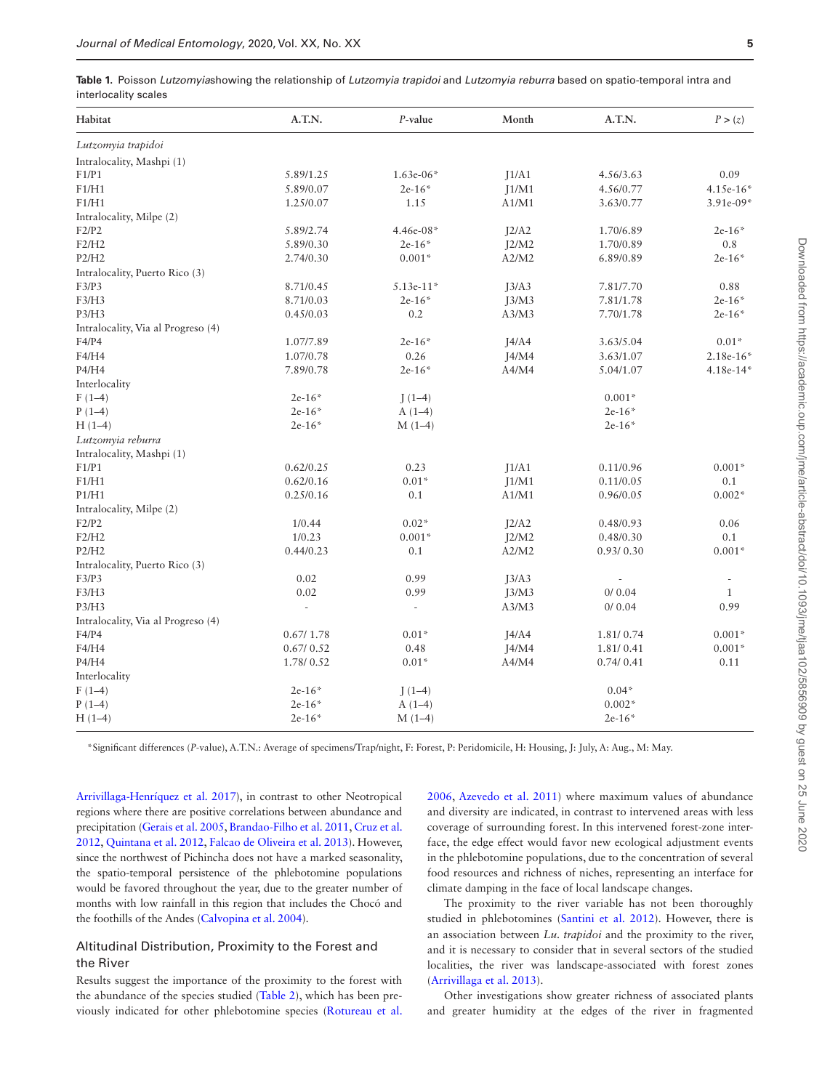<span id="page-4-0"></span>**Table 1.** Poisson *Lutzomyia*showing the relationship of *Lutzomyia trapidoi* and *Lutzomyia reburra* based on spatio-temporal intra and interlocality scales

| Habitat                            | A.T.N.    | P-value                  | Month | A.T.N.    | P > (z)      |
|------------------------------------|-----------|--------------------------|-------|-----------|--------------|
| Lutzomyia trapidoi                 |           |                          |       |           |              |
| Intralocality, Mashpi (1)          |           |                          |       |           |              |
| F1/P1                              | 5.89/1.25 | $1.63e-06*$              | I1/A1 | 4.56/3.63 | 0.09         |
| F1/H1                              | 5.89/0.07 | $2e-16*$                 | I1/M1 | 4.56/0.77 | 4.15e-16*    |
| F1/H1                              | 1.25/0.07 | 1.15                     | A1/M1 | 3.63/0.77 | 3.91e-09*    |
| Intralocality, Milpe (2)           |           |                          |       |           |              |
| F2/P2                              | 5.89/2.74 | $4.46e-08*$              | J2/A2 | 1.70/6.89 | $2e-16*$     |
| F2/H2                              | 5.89/0.30 | $2e-16*$                 | I2/M2 | 1.70/0.89 | 0.8          |
| P2/H2                              | 2.74/0.30 | $0.001*$                 | A2/M2 | 6.89/0.89 | $2e-16*$     |
| Intralocality, Puerto Rico (3)     |           |                          |       |           |              |
| F3/P3                              | 8.71/0.45 | $5.13e-11*$              | J3/43 | 7.81/7.70 | 0.88         |
| F3/H3                              | 8.71/0.03 | $2e-16*$                 | J3/M3 | 7.81/1.78 | $2e-16*$     |
| P3/H3                              | 0.45/0.03 | 0.2                      | A3/M3 | 7.70/1.78 | $2e-16*$     |
| Intralocality, Via al Progreso (4) |           |                          |       |           |              |
| F4/P4                              | 1.07/7.89 | $2e-16*$                 | I4/AA | 3.63/5.04 | $0.01*$      |
| F4/H4                              | 1.07/0.78 | 0.26                     | J4/M4 | 3.63/1.07 | $2.18e-16*$  |
| P4/H4                              | 7.89/0.78 | $2e-16*$                 | A4/M4 | 5.04/1.07 | 4.18e-14*    |
| Interlocality                      |           |                          |       |           |              |
| $F(1-4)$                           | $2e-16*$  | $J(1-4)$                 |       | $0.001*$  |              |
| $P(1-4)$                           | $2e-16*$  | $A(1-4)$                 |       | $2e-16*$  |              |
| $H(1-4)$                           | $2e-16*$  | $M(1-4)$                 |       | $2e-16*$  |              |
| Lutzomyia reburra                  |           |                          |       |           |              |
| Intralocality, Mashpi (1)          |           |                          |       |           |              |
| F1/P1                              | 0.62/0.25 | 0.23                     | I1/A1 | 0.11/0.96 | $0.001*$     |
| F1/H1                              | 0.62/0.16 | $0.01*$                  | I1/M1 | 0.11/0.05 | 0.1          |
| P1/H1                              | 0.25/0.16 | 0.1                      | A1/M1 | 0.96/0.05 | $0.002*$     |
| Intralocality, Milpe (2)           |           |                          |       |           |              |
| F2/P2                              | 1/0.44    | $0.02*$                  | I2/A2 | 0.48/0.93 | 0.06         |
| F2/H2                              | 1/0.23    | $0.001*$                 | J2/M2 | 0.48/0.30 | 0.1          |
| P2/H2                              | 0.44/0.23 | 0.1                      | A2/M2 | 0.93/0.30 | $0.001*$     |
| Intralocality, Puerto Rico (3)     |           |                          |       |           |              |
| F3/P3                              | 0.02      | 0.99                     | J3/A3 |           |              |
| F3/H3                              | 0.02      | 0.99                     | J3/M3 | 0/0.04    | $\mathbf{1}$ |
| P3/H3                              | J,        | $\overline{\phantom{a}}$ | A3/M3 | 0/0.04    | 0.99         |
| Intralocality, Via al Progreso (4) |           |                          |       |           |              |
| F4/P4                              | 0.67/1.78 | $0.01*$                  | I4/AA | 1.81/0.74 | $0.001*$     |
| F4/H4                              | 0.67/0.52 | 0.48                     | I4/M4 | 1.81/0.41 | $0.001*$     |
| P4/H4                              | 1.78/0.52 | $0.01*$                  | A4/M4 | 0.74/0.41 | 0.11         |
| Interlocality                      |           |                          |       |           |              |
| $F(1-4)$                           | $2e-16*$  | $J(1-4)$                 |       | $0.04*$   |              |
| $P(1-4)$                           | $2e-16*$  | $A(1-4)$                 |       | $0.002*$  |              |
| $H(1-4)$                           | $2e-16*$  | $M(1-4)$                 |       | $2e-16*$  |              |

\*Significant differences (*P*-value), A.T.N.: Average of specimens/Trap/night, F: Forest, P: Peridomicile, H: Housing, J: July, A: Aug., M: May.

[Arrivillaga-Henríquez et al. 2017](#page-6-2)), in contrast to other Neotropical regions where there are positive correlations between abundance and precipitation [\(Gerais et al. 2005,](#page-7-23) [Brandao-Filho et al. 2011,](#page-6-4) [Cruz et al.](#page-6-6)  [2012](#page-6-6), [Quintana et al. 2012](#page-7-19), [Falcao de Oliveira et al. 2013](#page-7-24)). However, since the northwest of Pichincha does not have a marked seasonality, the spatio-temporal persistence of the phlebotomine populations would be favored throughout the year, due to the greater number of months with low rainfall in this region that includes the Chocó and the foothills of the Andes [\(Calvopina et al. 2004\)](#page-6-1).

## Altitudinal Distribution, Proximity to the Forest and the River

Results suggest the importance of the proximity to the forest with the abundance of the species studied [\(Table 2](#page-5-0)), which has been previously indicated for other phlebotomine species ([Rotureau et al.](#page-7-2) 

[2006](#page-7-2), [Azevedo et al. 2011](#page-6-0)) where maximum values of abundance and diversity are indicated, in contrast to intervened areas with less coverage of surrounding forest. In this intervened forest-zone interface, the edge effect would favor new ecological adjustment events in the phlebotomine populations, due to the concentration of several food resources and richness of niches, representing an interface for climate damping in the face of local landscape changes.

The proximity to the river variable has not been thoroughly studied in phlebotomines ([Santini et al. 2012\)](#page-7-15). However, there is an association between *Lu. trapidoi* and the proximity to the river, and it is necessary to consider that in several sectors of the studied localities, the river was landscape-associated with forest zones [\(Arrivillaga et al. 2013](#page-6-7)).

Other investigations show greater richness of associated plants and greater humidity at the edges of the river in fragmented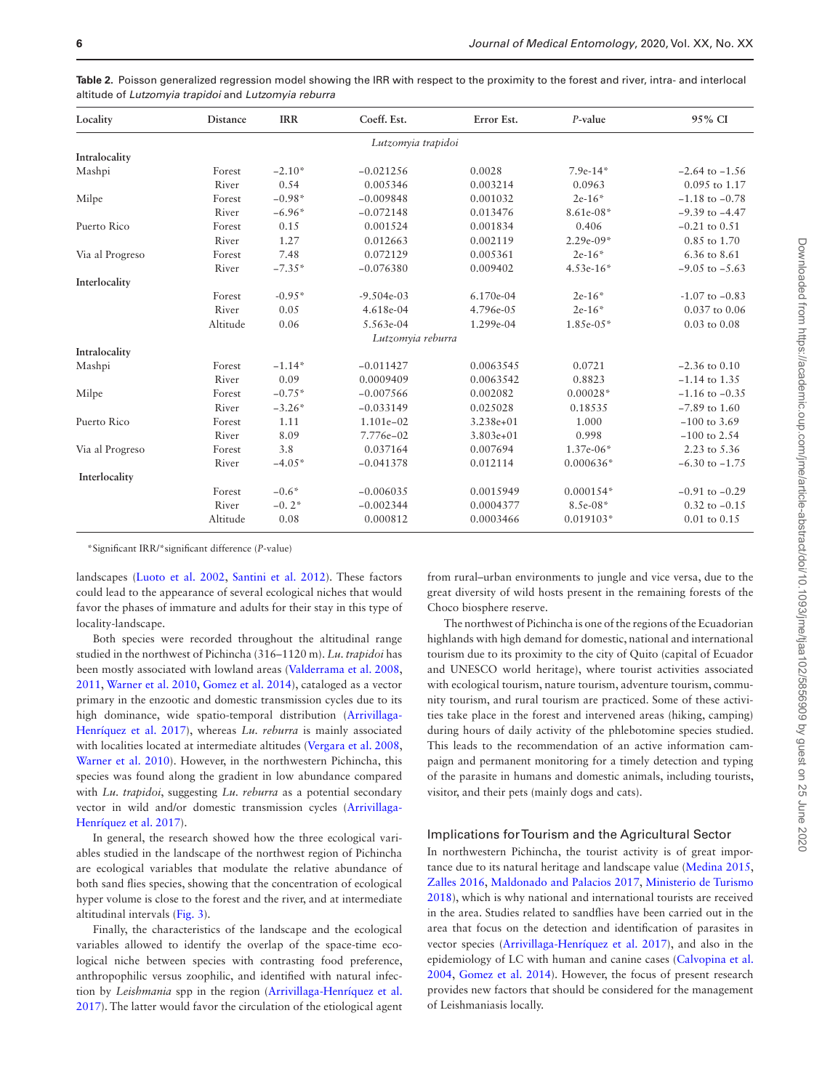| Locality        | <b>Distance</b> | <b>IRR</b> | Coeff. Est.        | Error Est.  | $P$ -value   | 95% CI             |
|-----------------|-----------------|------------|--------------------|-------------|--------------|--------------------|
|                 |                 |            | Lutzomyia trapidoi |             |              |                    |
| Intralocality   |                 |            |                    |             |              |                    |
| Mashpi          | Forest          | $-2.10*$   | $-0.021256$        | 0.0028      | $7.9e-14*$   | $-2.64$ to $-1.56$ |
|                 | River           | 0.54       | 0.005346           | 0.003214    | 0.0963       | 0.095 to 1.17      |
| Milpe           | Forest          | $-0.98*$   | $-0.009848$        | 0.001032    | $2e-16*$     | $-1.18$ to $-0.78$ |
|                 | River           | $-6.96*$   | $-0.072148$        | 0.013476    | 8.61e-08*    | $-9.39$ to $-4.47$ |
| Puerto Rico     | Forest          | 0.15       | 0.001524           | 0.001834    | 0.406        | $-0.21$ to $0.51$  |
|                 | River           | 1.27       | 0.012663           | 0.002119    | $2.29e-09*$  | 0.85 to 1.70       |
| Via al Progreso | Forest          | 7.48       | 0.072129           | 0.005361    | $2e-16*$     | 6.36 to 8.61       |
|                 | River           | $-7.35*$   | $-0.076380$        | 0.009402    | $4.53e-16*$  | $-9.05$ to $-5.63$ |
| Interlocality   |                 |            |                    |             |              |                    |
|                 | Forest          | $-0.95*$   | $-9.504e-03$       | 6.170e-04   | $2e-16*$     | $-1.07$ to $-0.83$ |
|                 | River           | 0.05       | 4.618e-04          | 4.796e-05   | $2e-16*$     | 0.037 to 0.06      |
|                 | Altitude        | 0.06       | 5.563e-04          | 1.299e-04   | $1.85e-0.5*$ | $0.03$ to $0.08$   |
|                 |                 |            | Lutzomyia reburra  |             |              |                    |
| Intralocality   |                 |            |                    |             |              |                    |
| Mashpi          | Forest          | $-1.14*$   | $-0.011427$        | 0.0063545   | 0.0721       | $-2.36$ to 0.10    |
|                 | River           | 0.09       | 0.0009409          | 0.0063542   | 0.8823       | $-1.14$ to $1.35$  |
| Milpe           | Forest          | $-0.75*$   | $-0.007566$        | 0.002082    | $0.00028*$   | $-1.16$ to $-0.35$ |
|                 | River           | $-3.26*$   | $-0.033149$        | 0.025028    | 0.18535      | $-7.89$ to 1.60    |
| Puerto Rico     | Forest          | 1.11       | 1.101e-02          | 3.238e+01   | 1.000        | $-100$ to 3.69     |
|                 | River           | 8.09       | 7.776e-02          | $3.803e+01$ | 0.998        | $-100$ to 2.54     |
| Via al Progreso | Forest          | 3.8        | 0.037164           | 0.007694    | $1.37e-06*$  | 2.23 to 5.36       |
|                 | River           | $-4.05*$   | $-0.041378$        | 0.012114    | $0.000636*$  | $-6.30$ to $-1.75$ |
| Interlocality   |                 |            |                    |             |              |                    |
|                 | Forest          | $-0.6*$    | $-0.006035$        | 0.0015949   | $0.000154*$  | $-0.91$ to $-0.29$ |
|                 | River           | $-0.2*$    | $-0.002344$        | 0.0004377   | $8.5e-08*$   | $0.32$ to $-0.15$  |
|                 | Altitude        | 0.08       | 0.000812           | 0.0003466   | $0.019103*$  | $0.01$ to $0.15$   |

<span id="page-5-0"></span>**Table 2.** Poisson generalized regression model showing the IRR with respect to the proximity to the forest and river, intra- and interlocal altitude of *Lutzomyia trapidoi* and *Lutzomyia reburra*

\*Significant IRR/\*significant difference (*P*-value)

landscapes ([Luoto et al. 2002](#page-7-25), [Santini et al. 2012\)](#page-7-15). These factors could lead to the appearance of several ecological niches that would favor the phases of immature and adults for their stay in this type of locality-landscape.

Both species were recorded throughout the altitudinal range studied in the northwest of Pichincha (316–1120 m). *Lu. trapidoi* has been mostly associated with lowland areas [\(Valderrama et al. 2008,](#page-7-16) [2011](#page-7-3), [Warner et al. 2010](#page-7-26), [Gomez et al. 2014](#page-7-4)), cataloged as a vector primary in the enzootic and domestic transmission cycles due to its high dominance, wide spatio-temporal distribution [\(Arrivillaga-](#page-6-2)[Henríquez et al. 2017\)](#page-6-2), whereas *Lu. reburra* is mainly associated with localities located at intermediate altitudes ([Vergara et al. 2008,](#page-7-8) [Warner et al. 2010\)](#page-7-26). However, in the northwestern Pichincha, this species was found along the gradient in low abundance compared with *Lu. trapidoi*, suggesting *Lu. reburra* as a potential secondary vector in wild and/or domestic transmission cycles [\(Arrivillaga-](#page-6-2)[Henríquez et al. 2017](#page-6-2)).

In general, the research showed how the three ecological variables studied in the landscape of the northwest region of Pichincha are ecological variables that modulate the relative abundance of both sand flies species, showing that the concentration of ecological hyper volume is close to the forest and the river, and at intermediate altitudinal intervals ([Fig. 3](#page-6-8)).

Finally, the characteristics of the landscape and the ecological variables allowed to identify the overlap of the space-time ecological niche between species with contrasting food preference, anthropophilic versus zoophilic, and identified with natural infection by *Leishmania* spp in the region [\(Arrivillaga-Henríquez et al.](#page-6-2)  [2017](#page-6-2)). The latter would favor the circulation of the etiological agent

from rural–urban environments to jungle and vice versa, due to the great diversity of wild hosts present in the remaining forests of the Choco biosphere reserve.

The northwest of Pichincha is one of the regions of the Ecuadorian highlands with high demand for domestic, national and international tourism due to its proximity to the city of Quito (capital of Ecuador and UNESCO world heritage), where tourist activities associated with ecological tourism, nature tourism, adventure tourism, community tourism, and rural tourism are practiced. Some of these activities take place in the forest and intervened areas (hiking, camping) during hours of daily activity of the phlebotomine species studied. This leads to the recommendation of an active information campaign and permanent monitoring for a timely detection and typing of the parasite in humans and domestic animals, including tourists, visitor, and their pets (mainly dogs and cats).

### Implications for Tourism and the Agricultural Sector

In northwestern Pichincha, the tourist activity is of great importance due to its natural heritage and landscape value [\(Medina 2015,](#page-7-27) [Zalles 2016,](#page-7-28) [Maldonado and Palacios 2017,](#page-7-29) [Ministerio de Turismo](#page-7-7)  [2018](#page-7-7)), which is why national and international tourists are received in the area. Studies related to sandflies have been carried out in the area that focus on the detection and identification of parasites in vector species ([Arrivillaga-Henríquez et al. 2017\)](#page-6-2), and also in the epidemiology of LC with human and canine cases ([Calvopina et al.](#page-6-1)  [2004](#page-6-1), [Gomez et al. 2014](#page-7-4)). However, the focus of present research provides new factors that should be considered for the management of Leishmaniasis locally.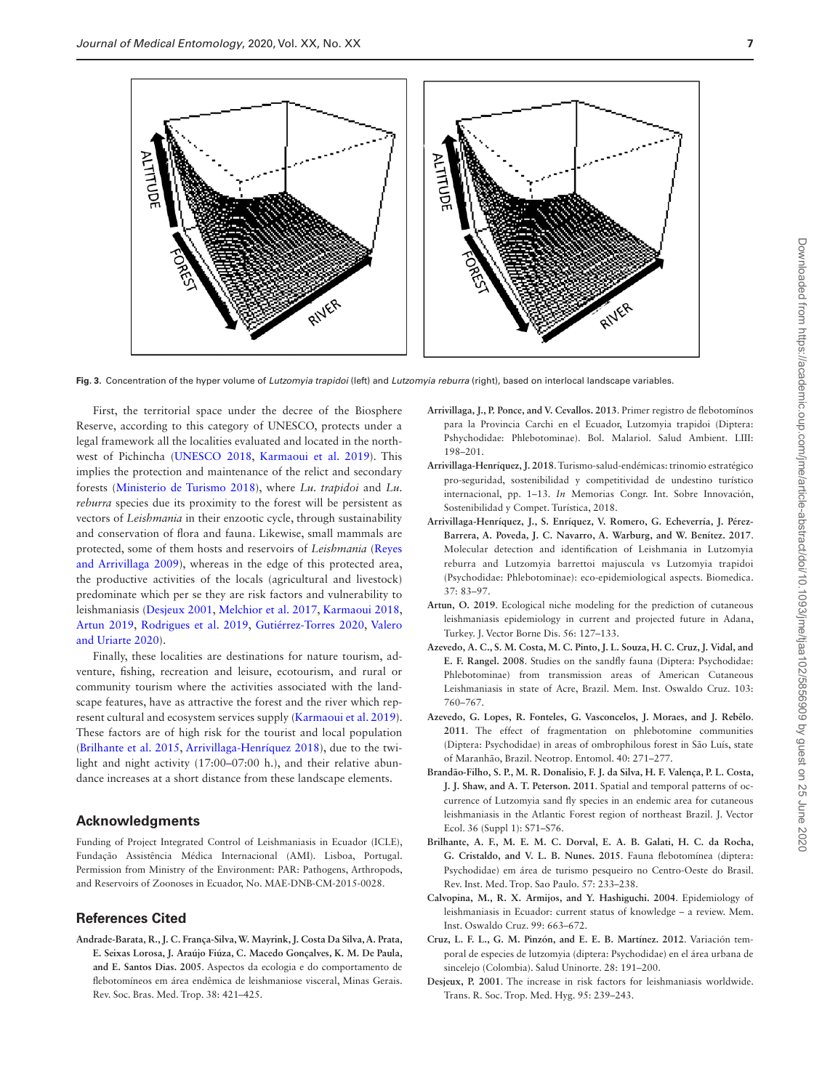

<span id="page-6-8"></span>**Fig. 3.** Concentration of the hyper volume of *Lutzomyia trapidoi* (left) and *Lutzomyia reburra* (right), based on interlocal landscape variables.

First, the territorial space under the decree of the Biosphere Reserve, according to this category of UNESCO, protects under a legal framework all the localities evaluated and located in the northwest of Pichincha [\(UNESCO 2018,](#page-7-9) [Karmaoui et al. 2019](#page-7-30)). This implies the protection and maintenance of the relict and secondary forests [\(Ministerio de Turismo 2018](#page-7-7)), where *Lu. trapidoi* and *Lu. reburra* species due its proximity to the forest will be persistent as vectors of *Leishmania* in their enzootic cycle, through sustainability and conservation of flora and fauna. Likewise, small mammals are protected, some of them hosts and reservoirs of *Leishmania* ([Reyes](#page-7-18)  [and Arrivillaga 2009](#page-7-18)), whereas in the edge of this protected area, the productive activities of the locals (agricultural and livestock) predominate which per se they are risk factors and vulnerability to leishmaniasis ([Desjeux 2001,](#page-6-9) [Melchior et al. 2017,](#page-7-31) [Karmaoui 2018,](#page-7-32) [Artun 2019](#page-6-10), [Rodrigues et al. 2019](#page-7-33), [Gutiérrez-Torres 2020](#page-7-34), [Valero](#page-7-35)  [and Uriarte 2020](#page-7-35)).

Finally, these localities are destinations for nature tourism, adventure, fishing, recreation and leisure, ecotourism, and rural or community tourism where the activities associated with the landscape features, have as attractive the forest and the river which represent cultural and ecosystem services supply ([Karmaoui et al. 2019](#page-7-30)). These factors are of high risk for the tourist and local population [\(Brilhante et al. 2015](#page-6-11), [Arrivillaga-Henríquez 2018](#page-6-12)), due to the twilight and night activity (17:00–07:00 h.), and their relative abundance increases at a short distance from these landscape elements.

## **Acknowledgments**

Funding of Project Integrated Control of Leishmaniasis in Ecuador (ICLE), Fundação Assistência Médica Internacional (AMI). Lisboa, Portugal. Permission from Ministry of the Environment: PAR: Pathogens, Arthropods, and Reservoirs of Zoonoses in Ecuador, No. MAE-DNB-CM-2015-0028.

#### **References Cited**

<span id="page-6-3"></span>**Andrade-Barata, R., J. C. França-Silva, W. Mayrink, J. Costa Da Silva, A. Prata, E. Seixas Lorosa, J. Araújo Fiúza, C. Macedo Gonçalves, K. M. De Paula, and E. Santos Dias. 2005**. Aspectos da ecologia e do comportamento de flebotomíneos em área endêmica de leishmaniose visceral, Minas Gerais. Rev. Soc. Bras. Med. Trop. 38: 421–425.

- <span id="page-6-7"></span>**Arrivillaga, J., P. Ponce, and V. Cevallos. 2013**. Primer registro de flebotomínos para la Provincia Carchi en el Ecuador, Lutzomyia trapidoi (Diptera: Pshychodidae: Phlebotominae). Bol. Malariol. Salud Ambient. LIII: 198–201.
- <span id="page-6-12"></span>**Arrivillaga-Henríquez, J. 2018**. Turismo-salud-endémicas: trinomio estratégico pro-seguridad, sostenibilidad y competitividad de undestino turístico internacional, pp. 1–13. *In* Memorias Congr. Int. Sobre Innovación, Sostenibilidad y Compet. Turística, 2018.
- <span id="page-6-2"></span>**Arrivillaga-Henríquez, J., S. Enríquez, V. Romero, G. Echeverría, J. Pérez-Barrera, A. Poveda, J. C. Navarro, A. Warburg, and W. Benítez. 2017**. Molecular detection and identification of Leishmania in Lutzomyia reburra and Lutzomyia barrettoi majuscula vs Lutzomyia trapidoi (Psychodidae: Phlebotominae): eco-epidemiological aspects. Biomedica. 37: 83–97.
- <span id="page-6-10"></span>**Artun, O. 2019**. Ecological niche modeling for the prediction of cutaneous leishmaniasis epidemiology in current and projected future in Adana, Turkey. J. Vector Borne Dis. 56: 127–133.
- <span id="page-6-5"></span>**Azevedo, A. C., S. M. Costa, M. C. Pinto, J. L. Souza, H. C. Cruz, J. Vidal, and E. F. Rangel. 2008**. Studies on the sandfly fauna (Diptera: Psychodidae: Phlebotominae) from transmission areas of American Cutaneous Leishmaniasis in state of Acre, Brazil. Mem. Inst. Oswaldo Cruz. 103: 760–767.
- <span id="page-6-0"></span>**Azevedo, G. Lopes, R. Fonteles, G. Vasconcelos, J. Moraes, and J. Rebêlo**. **2011**. The effect of fragmentation on phlebotomine communities (Diptera: Psychodidae) in areas of ombrophilous forest in São Luís, state of Maranhão, Brazil. Neotrop. Entomol. 40: 271–277.
- <span id="page-6-4"></span>**Brandão-Filho, S. P., M. R. Donalisio, F. J. da Silva, H. F. Valença, P. L. Costa, J. J. Shaw, and A. T. Peterson. 2011**. Spatial and temporal patterns of occurrence of Lutzomyia sand fly species in an endemic area for cutaneous leishmaniasis in the Atlantic Forest region of northeast Brazil. J. Vector Ecol. 36 (Suppl 1): S71–S76.
- <span id="page-6-11"></span>**Brilhante, A. F., M. E. M. C. Dorval, E. A. B. Galati, H. C. da Rocha, G. Cristaldo, and V. L. B. Nunes. 2015**. Fauna flebotomínea (diptera: Psychodidae) em área de turismo pesqueiro no Centro-Oeste do Brasil. Rev. Inst. Med. Trop. Sao Paulo. 57: 233–238.
- <span id="page-6-1"></span>**Calvopina, M., R. X. Armijos, and Y. Hashiguchi. 2004**. Epidemiology of leishmaniasis in Ecuador: current status of knowledge – a review. Mem. Inst. Oswaldo Cruz. 99: 663–672.
- <span id="page-6-6"></span>**Cruz, L. F. L., G. M. Pinzón, and E. E. B. Martínez. 2012**. Variación temporal de especies de lutzomyia (diptera: Psychodidae) en el área urbana de sincelejo (Colombia). Salud Uninorte. 28: 191–200.
- <span id="page-6-9"></span>**Desjeux, P. 2001**. The increase in risk factors for leishmaniasis worldwide. Trans. R. Soc. Trop. Med. Hyg. 95: 239–243.